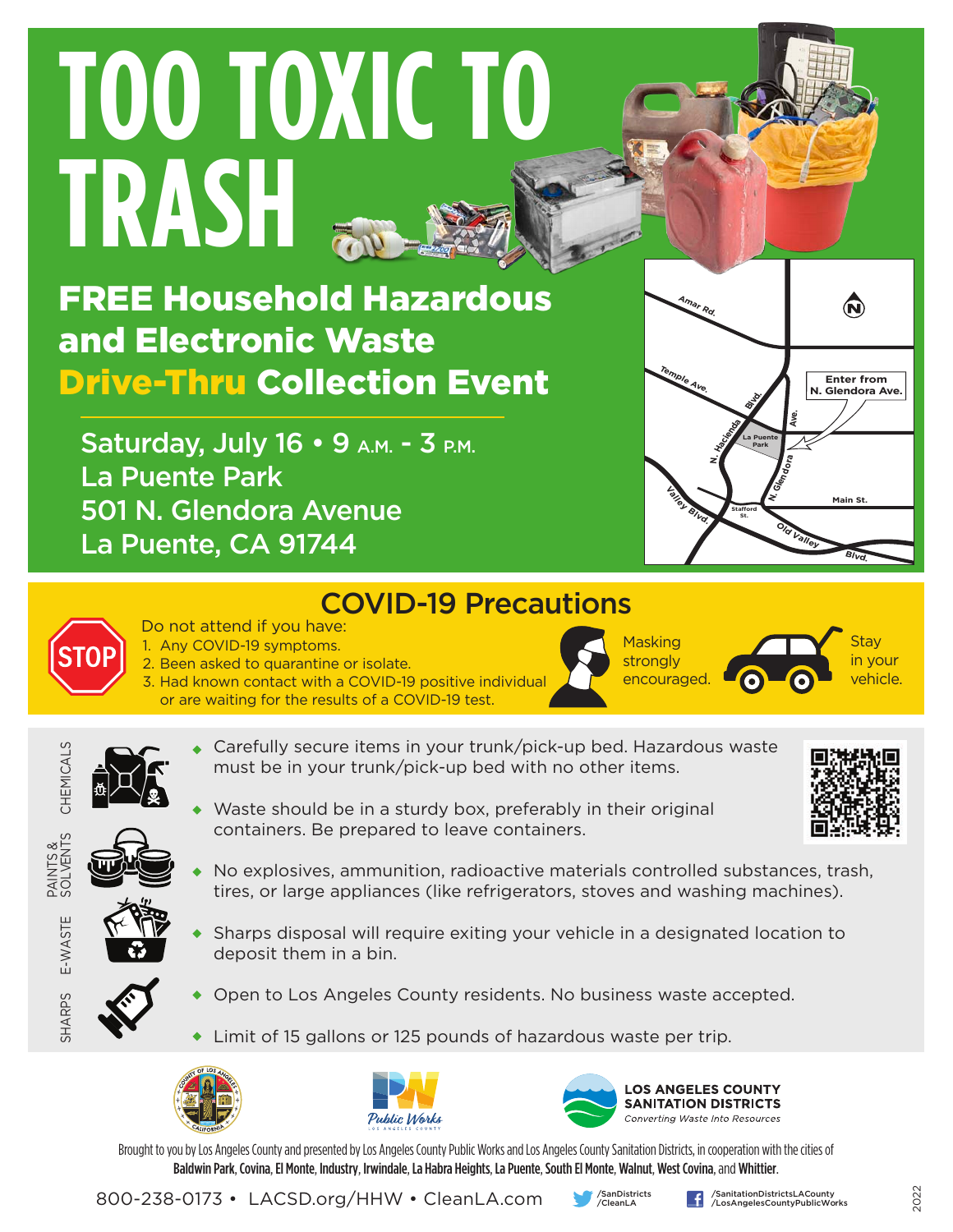# **TOO TOXIC TO TRASH**

FREE Household Hazardous and Electronic Waste Drive-Thru Collection Event

Saturday, July 16 • 9 A.M. - 3 P.M. La Puente Park 501 N. Glendora Avenue La Puente, CA 91744





### COVID-19 Precautions Do not attend if you have:

1. Any COVID-19 symptoms. 2. Been asked to quarantine or isolate. 3. Had known contact with a COVID-19 positive individual

or are waiting for the results of a COVID-19 test.

Masking strongly encouraged.

Stay in your vehicle.

- 
- Carefully secure items in your trunk/pick-up bed. Hazardous waste must be in your trunk/pick-up bed with no other items.

Waste should be in a sturdy box, preferably in their original

- CHEMICALS CHEMICALS PAINTS &<br>SOLVENTS SOLVENTS
	- E-WASTE E-WASTE

SHARPS

- No explosives, ammunition, radioactive materials controlled substances, trash, tires, or large appliances (like refrigerators, stoves and washing machines).
- Sharps disposal will require exiting your vehicle in a designated location to deposit them in a bin.
- 
- Open to Los Angeles County residents. No business waste accepted.
- Limit of 15 gallons or 125 pounds of hazardous waste per trip.





containers. Be prepared to leave containers.



Brought to you by Los Angeles County and presented by Los Angeles County Public Works and Los Angeles County Sanitation Districts, in cooperation with the cities of Baldwin Park, Covina, El Monte, Industry, Irwindale, La Habra Heights, La Puente, South El Monte, Walnut, West Covina, and Whittier.

800-238-0173 • LACSD.org/HHW • CleanLA.com



/SanitationDistrictsLACounty /LosAngelesCountyPublicWorks